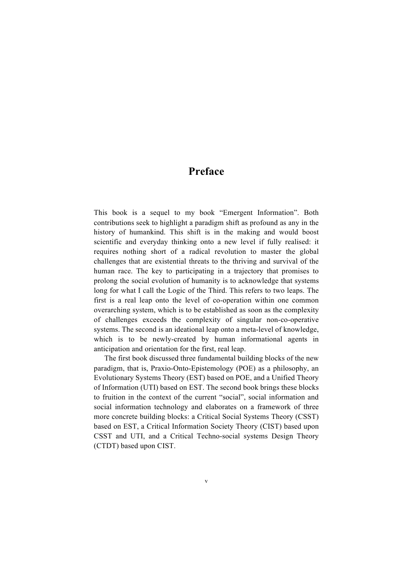## **Preface**

This book is a sequel to my book "Emergent Information". Both contributions seek to highlight a paradigm shift as profound as any in the history of humankind. This shift is in the making and would boost scientific and everyday thinking onto a new level if fully realised: it requires nothing short of a radical revolution to master the global challenges that are existential threats to the thriving and survival of the human race. The key to participating in a trajectory that promises to prolong the social evolution of humanity is to acknowledge that systems long for what I call the Logic of the Third. This refers to two leaps. The first is a real leap onto the level of co-operation within one common overarching system, which is to be established as soon as the complexity of challenges exceeds the complexity of singular non-co-operative systems. The second is an ideational leap onto a meta-level of knowledge, which is to be newly-created by human informational agents in anticipation and orientation for the first, real leap.

The first book discussed three fundamental building blocks of the new paradigm, that is, Praxio-Onto-Epistemology (POE) as a philosophy, an Evolutionary Systems Theory (EST) based on POE, and a Unified Theory of Information (UTI) based on EST. The second book brings these blocks to fruition in the context of the current "social", social information and social information technology and elaborates on a framework of three more concrete building blocks: a Critical Social Systems Theory (CSST) based on EST, a Critical Information Society Theory (CIST) based upon CSST and UTI, and a Critical Techno-social systems Design Theory (CTDT) based upon CIST.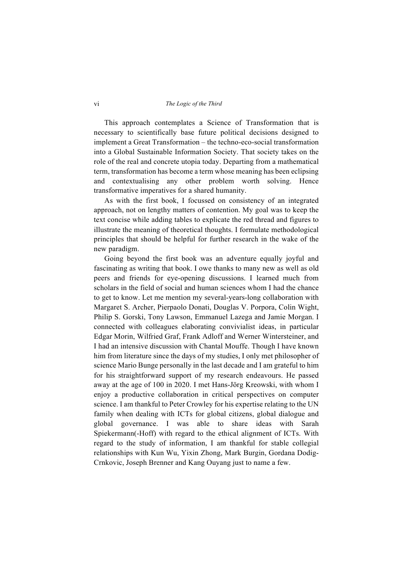## vi *The Logic of the Third*

This approach contemplates a Science of Transformation that is necessary to scientifically base future political decisions designed to implement a Great Transformation – the techno-eco-social transformation into a Global Sustainable Information Society. That society takes on the role of the real and concrete utopia today. Departing from a mathematical term, transformation has become a term whose meaning has been eclipsing and contextualising any other problem worth solving. Hence transformative imperatives for a shared humanity.

As with the first book, I focussed on consistency of an integrated approach, not on lengthy matters of contention. My goal was to keep the text concise while adding tables to explicate the red thread and figures to illustrate the meaning of theoretical thoughts. I formulate methodological principles that should be helpful for further research in the wake of the new paradigm.

Going beyond the first book was an adventure equally joyful and fascinating as writing that book. I owe thanks to many new as well as old peers and friends for eye-opening discussions. I learned much from scholars in the field of social and human sciences whom I had the chance to get to know. Let me mention my several-years-long collaboration with Margaret S. Archer, Pierpaolo Donati, Douglas V. Porpora, Colin Wight, Philip S. Gorski, Tony Lawson, Emmanuel Lazega and Jamie Morgan. I connected with colleagues elaborating convivialist ideas, in particular Edgar Morin, Wilfried Graf, Frank Adloff and Werner Wintersteiner, and I had an intensive discussion with Chantal Mouffe. Though I have known him from literature since the days of my studies, I only met philosopher of science Mario Bunge personally in the last decade and I am grateful to him for his straightforward support of my research endeavours. He passed away at the age of 100 in 2020. I met Hans-Jörg Kreowski, with whom I enjoy a productive collaboration in critical perspectives on computer science. I am thankful to Peter Crowley for his expertise relating to the UN family when dealing with ICTs for global citizens, global dialogue and global governance. I was able to share ideas with Sarah Spiekermann(-Hoff) with regard to the ethical alignment of ICTs. With regard to the study of information, I am thankful for stable collegial relationships with Kun Wu, Yixin Zhong, Mark Burgin, Gordana Dodig-Crnkovic, Joseph Brenner and Kang Ouyang just to name a few.